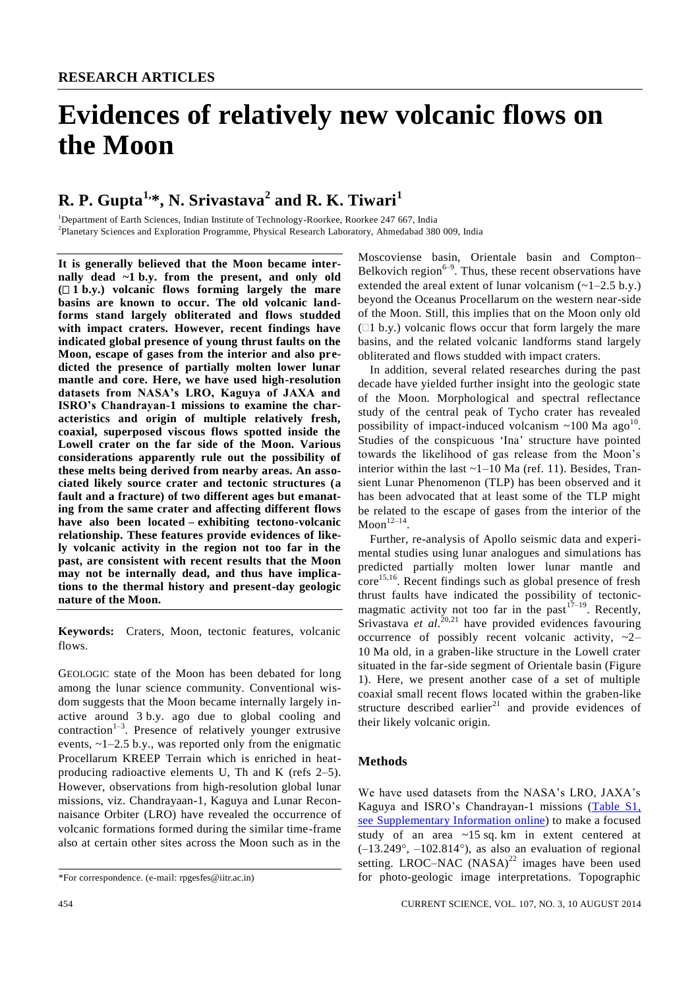# **Evidences of relatively new volcanic flows on the Moon**

# **R. P. Gupta1,\*, N. Srivastava<sup>2</sup> and R. K. Tiwari<sup>1</sup>**

<sup>1</sup>Department of Earth Sciences, Indian Institute of Technology-Roorkee, Roorkee 247 667, India 2 Planetary Sciences and Exploration Programme, Physical Research Laboratory, Ahmedabad 380 009, India

**It is generally believed that the Moon became internally dead ~1 b.y. from the present, and only old**   $( \Box 1 \ b.\mathbf{y})$  volcanic flows forming largely the mare **basins are known to occur. The old volcanic landforms stand largely obliterated and flows studded with impact craters. However, recent findings have indicated global presence of young thrust faults on the Moon, escape of gases from the interior and also predicted the presence of partially molten lower lunar mantle and core. Here, we have used high-resolution datasets from NASA's LRO, Kaguya of JAXA and ISRO's Chandrayan-1 missions to examine the characteristics and origin of multiple relatively fresh, coaxial, superposed viscous flows spotted inside the Lowell crater on the far side of the Moon. Various considerations apparently rule out the possibility of these melts being derived from nearby areas. An associated likely source crater and tectonic structures (a fault and a fracture) of two different ages but emanating from the same crater and affecting different flows have also been located – exhibiting tectono-volcanic relationship. These features provide evidences of likely volcanic activity in the region not too far in the past, are consistent with recent results that the Moon may not be internally dead, and thus have implications to the thermal history and present-day geologic nature of the Moon.**

**Keywords:** Craters, Moon, tectonic features, volcanic flows.

GEOLOGIC state of the Moon has been debated for long among the lunar science community. Conventional wisdom suggests that the Moon became internally largely inactive around 3 b.y. ago due to global cooling and contraction<sup>1-3</sup>. Presence of relatively younger extrusive events,  $\sim$ 1–2.5 b.y., was reported only from the enigmatic Procellarum KREEP Terrain which is enriched in heatproducing radioactive elements U, Th and K (refs 2–5). However, observations from high-resolution global lunar missions, viz. Chandrayaan-1, Kaguya and Lunar Reconnaisance Orbiter (LRO) have revealed the occurrence of volcanic formations formed during the similar time-frame also at certain other sites across the Moon such as in the

Moscoviense basin, Orientale basin and Compton– Belkovich region $6-9$ . Thus, these recent observations have extended the areal extent of lunar volcanism  $(-1-2.5 \text{ b.y.})$ beyond the Oceanus Procellarum on the western near-side of the Moon. Still, this implies that on the Moon only old  $(1 b.y.)$  volcanic flows occur that form largely the mare basins, and the related volcanic landforms stand largely obliterated and flows studded with impact craters.

In addition, several related researches during the past decade have yielded further insight into the geologic state of the Moon. Morphological and spectral reflectance study of the central peak of Tycho crater has revealed possibility of impact-induced volcanism  $\sim$ 100 Ma ago<sup>10</sup>. Studies of the conspicuous 'Ina' structure have pointed towards the likelihood of gas release from the Moon's interior within the last ~1–10 Ma (ref. 11). Besides, Transient Lunar Phenomenon (TLP) has been observed and it has been advocated that at least some of the TLP might be related to the escape of gases from the interior of the  $Moon <sup>12–14</sup>$ .

Further, re-analysis of Apollo seismic data and experimental studies using lunar analogues and simulations has predicted partially molten lower lunar mantle and  $\text{core}^{15,16}$ . Recent findings such as global presence of fresh thrust faults have indicated the possibility of tectonicmagmatic activity not too far in the past  $17-19$ . Recently, Srivastava et al.<sup>20,21</sup> have provided evidences favouring occurrence of possibly recent volcanic activity,  $\sim 2-$ 10 Ma old, in a graben-like structure in the Lowell crater situated in the far-side segment of Orientale basin (Figure 1). Here, we present another case of a set of multiple coaxial small recent flows located within the graben-like structure described earlier<sup>21</sup> and provide evidences of their likely volcanic origin.

## **Methods**

We have used datasets from the NASA's LRO, JAXA's Kaguya and ISRO's Chandrayan-1 missions [\(Table S1,](http://www.currentscience.ac.in/Volumes/107/03/0454-suppl.pdf)  see [Supplementary Information](http://www.currentscience.ac.in/Volumes/107/03/0454-suppl.pdf) online) to make a focused study of an area ~15 sq. km in extent centered at  $(-13.249^{\circ}, -102.814^{\circ})$ , as also an evaluation of regional setting. LROC–NAC  $(NASA)^{22}$  images have been used for photo-geologic image interpretations. Topographic

<sup>\*</sup>For correspondence. (e-mail: rpgesfes@iitr.ac.in)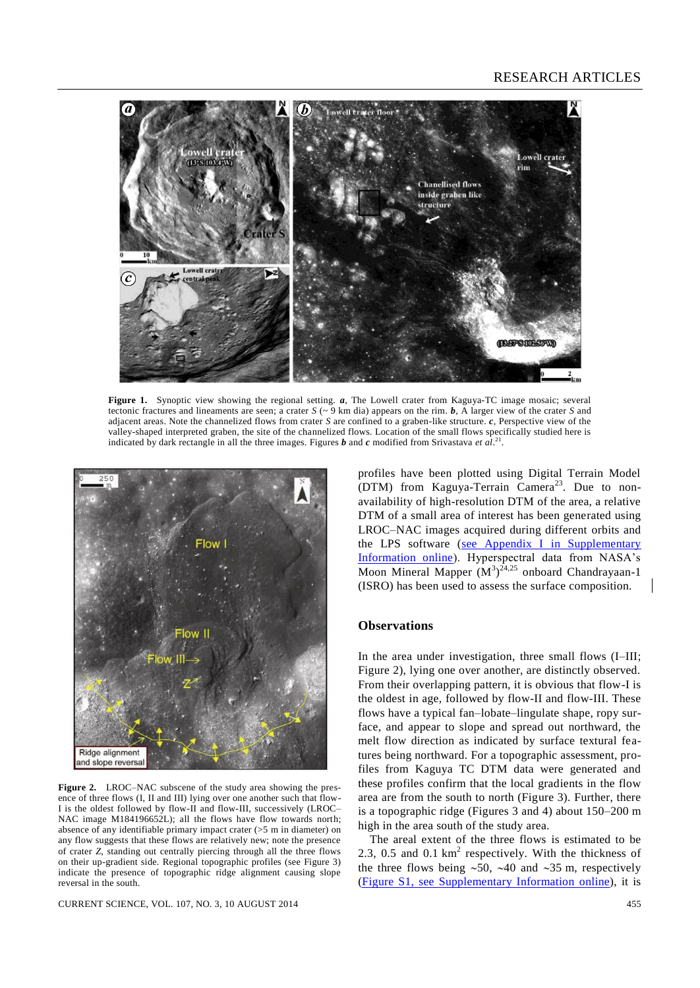

**Figure 1.** Synoptic view showing the regional setting. *a*, The Lowell crater from Kaguya-TC image mosaic; several tectonic fractures and lineaments are seen; a crater  $S \sim 9$  km dia) appears on the rim. **b**, A larger view of the crater *S* and adjacent areas. Note the channelized flows from crater *S* are confined to a graben-like structure. *c*, Perspective view of the valley-shaped interpreted graben, the site of the channelized flows. Location of the small flows specifically studied here is indicated by dark rectangle in all the three images. Figures *b* and *c* modified from Srivastava *et al*. 21 .



**Figure 2.** LROC–NAC subscene of the study area showing the presence of three flows (I, II and III) lying over one another such that flow-I is the oldest followed by flow-II and flow-III, successively (LROC– NAC image M184196652L); all the flows have flow towards north; absence of any identifiable primary impact crater (>5 m in diameter) on any flow suggests that these flows are relatively new; note the presence of crater *Z*, standing out centrally piercing through all the three flows on their up-gradient side. Regional topographic profiles (see Figure 3) indicate the presence of topographic ridge alignment causing slope reversal in the south.

CURRENT SCIENCE, VOL. 107, NO. 3, 10 AUGUST 2014 455

profiles have been plotted using Digital Terrain Model (DTM) from Kaguya-Terrain Camera<sup>23</sup>. Due to nonavailability of high-resolution DTM of the area, a relative DTM of a small area of interest has been generated using LROC–NAC images acquired during different orbits and the LPS software (see Appendix I [in Supplementary](http://www.currentscience.ac.in/Volumes/107/03/0454-suppl.pdf)  [Information online\)](http://www.currentscience.ac.in/Volumes/107/03/0454-suppl.pdf). Hyperspectral data from NASA's Moon Mineral Mapper  $(M^3)^{24,25}$  onboard Chandrayaan-1 (ISRO) has been used to assess the surface composition.

#### **Observations**

In the area under investigation, three small flows (I–III; Figure 2), lying one over another, are distinctly observed. From their overlapping pattern, it is obvious that flow-I is the oldest in age, followed by flow-II and flow-III. These flows have a typical fan–lobate–lingulate shape, ropy surface, and appear to slope and spread out northward, the melt flow direction as indicated by surface textural features being northward. For a topographic assessment, profiles from Kaguya TC DTM data were generated and these profiles confirm that the local gradients in the flow area are from the south to north (Figure 3). Further, there is a topographic ridge (Figures 3 and 4) about 150–200 m high in the area south of the study area.

The areal extent of the three flows is estimated to be 2.3, 0.5 and 0.1  $km^2$  respectively. With the thickness of the three flows being  $\sim 50$ ,  $\sim 40$  and  $\sim 35$  m, respectively (Figure S1, see [Supplementary Information](http://www.currentscience.ac.in/Volumes/107/03/0454-suppl.pdf) online), it is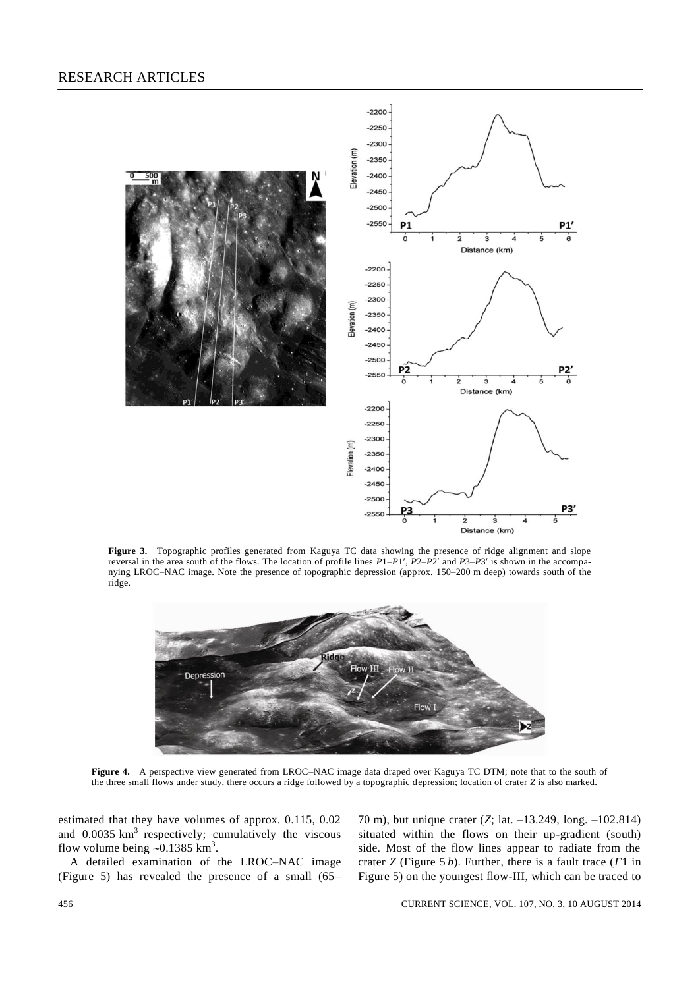

**Figure 3.** Topographic profiles generated from Kaguya TC data showing the presence of ridge alignment and slope reversal in the area south of the flows. The location of profile lines *P*1–*P*1, *P*2–*P*2 and *P*3–*P*3 is shown in the accompanying LROC–NAC image. Note the presence of topographic depression (approx. 150–200 m deep) towards south of the ridge.



**Figure 4.** A perspective view generated from LROC–NAC image data draped over Kaguya TC DTM; note that to the south of the three small flows under study, there occurs a ridge followed by a topographic depression; location of crater *Z* is also marked.

estimated that they have volumes of approx. 0.115, 0.02 and  $0.0035 \text{ km}^3$  respectively; cumulatively the viscous flow volume being  $\sim 0.1385$  km<sup>3</sup>.

A detailed examination of the LROC–NAC image (Figure 5) has revealed the presence of a small (65–

70 m), but unique crater (*Z*; lat. –13.249, long. –102.814) situated within the flows on their up-gradient (south) side. Most of the flow lines appear to radiate from the crater *Z* (Figure 5 *b*). Further, there is a fault trace (*F*1 in Figure 5) on the youngest flow-III, which can be traced to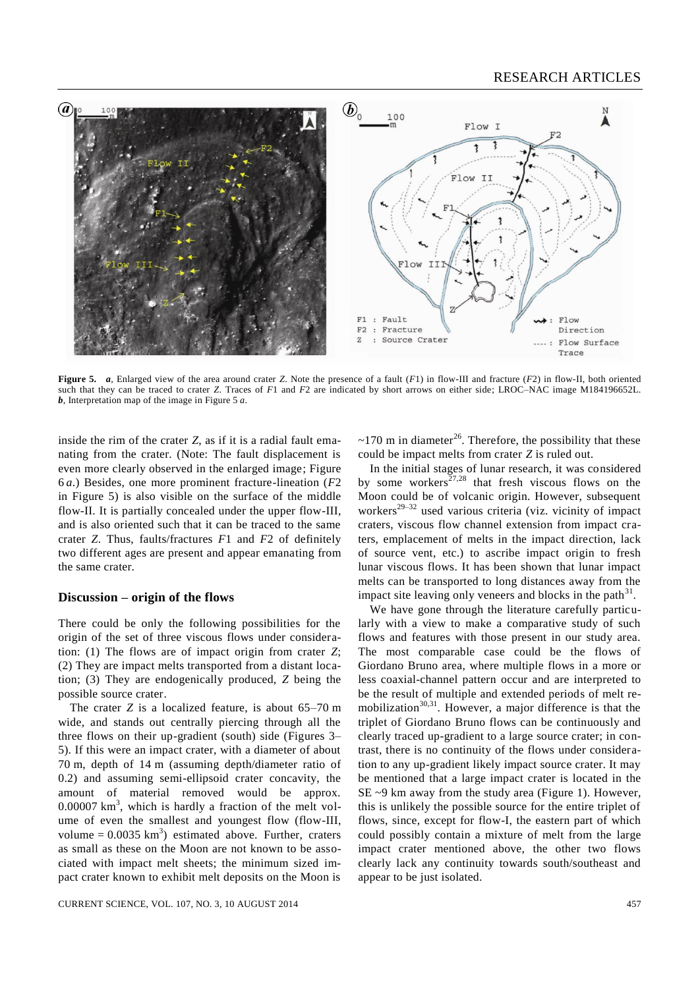

**Figure 5.** *a*, Enlarged view of the area around crater *Z*. Note the presence of a fault (*F*1) in flow-III and fracture (*F*2) in flow-II, both oriented such that they can be traced to crater *Z*. Traces of *F*1 and *F*2 are indicated by short arrows on either side; LROC–NAC image M184196652L. *b*, Interpretation map of the image in Figure 5 *a*.

inside the rim of the crater *Z*, as if it is a radial fault emanating from the crater. (Note: The fault displacement is even more clearly observed in the enlarged image; Figure 6 *a*.) Besides, one more prominent fracture-lineation (*F*2 in Figure 5) is also visible on the surface of the middle flow-II. It is partially concealed under the upper flow-III, and is also oriented such that it can be traced to the same crater *Z*. Thus, faults/fractures *F*1 and *F*2 of definitely two different ages are present and appear emanating from the same crater.

#### **Discussion – origin of the flows**

There could be only the following possibilities for the origin of the set of three viscous flows under consideration: (1) The flows are of impact origin from crater *Z*; (2) They are impact melts transported from a distant location; (3) They are endogenically produced, *Z* being the possible source crater.

The crater *Z* is a localized feature, is about 65–70 m wide, and stands out centrally piercing through all the three flows on their up-gradient (south) side (Figures 3– 5). If this were an impact crater, with a diameter of about 70 m, depth of 14 m (assuming depth/diameter ratio of 0.2) and assuming semi-ellipsoid crater concavity, the amount of material removed would be approx.  $0.00007 \text{ km}^3$ , which is hardly a fraction of the melt volume of even the smallest and youngest flow (flow-III, volume =  $0.0035 \text{ km}^3$ ) estimated above. Further, craters as small as these on the Moon are not known to be associated with impact melt sheets; the minimum sized impact crater known to exhibit melt deposits on the Moon is

 $\sim$ 170 m in diameter<sup>26</sup>. Therefore, the possibility that these could be impact melts from crater *Z* is ruled out.

In the initial stages of lunar research, it was considered by some workers<sup>27,28</sup> that fresh viscous flows on the Moon could be of volcanic origin. However, subsequent workers<sup>29-32</sup> used various criteria (viz. vicinity of impact craters, viscous flow channel extension from impact craters, emplacement of melts in the impact direction, lack of source vent, etc.) to ascribe impact origin to fresh lunar viscous flows. It has been shown that lunar impact melts can be transported to long distances away from the impact site leaving only veneers and blocks in the path $31$ .

We have gone through the literature carefully particularly with a view to make a comparative study of such flows and features with those present in our study area. The most comparable case could be the flows of Giordano Bruno area, where multiple flows in a more or less coaxial-channel pattern occur and are interpreted to be the result of multiple and extended periods of melt remobilization $30,31$ . However, a major difference is that the triplet of Giordano Bruno flows can be continuously and clearly traced up-gradient to a large source crater; in contrast, there is no continuity of the flows under consideration to any up-gradient likely impact source crater. It may be mentioned that a large impact crater is located in the SE ~9 km away from the study area (Figure 1). However, this is unlikely the possible source for the entire triplet of flows, since, except for flow-I, the eastern part of which could possibly contain a mixture of melt from the large impact crater mentioned above, the other two flows clearly lack any continuity towards south/southeast and appear to be just isolated.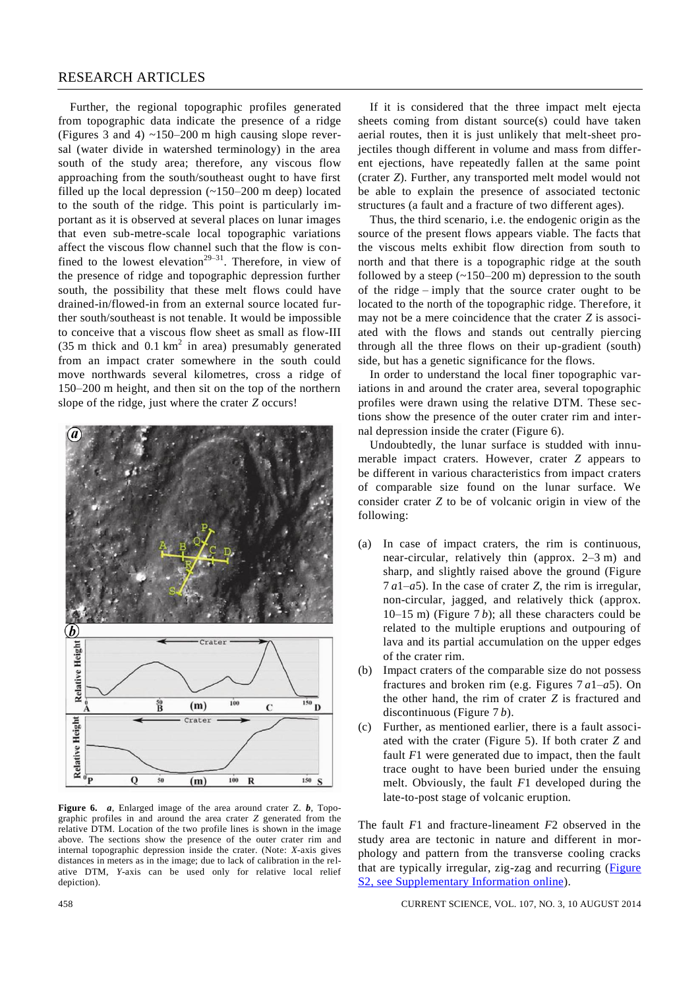### RESEARCH ARTICLES

Further, the regional topographic profiles generated from topographic data indicate the presence of a ridge (Figures 3 and 4)  $\sim$ 150–200 m high causing slope reversal (water divide in watershed terminology) in the area south of the study area; therefore, any viscous flow approaching from the south/southeast ought to have first filled up the local depression  $(-150-200 \text{ m}$  deep) located to the south of the ridge. This point is particularly important as it is observed at several places on lunar images that even sub-metre-scale local topographic variations affect the viscous flow channel such that the flow is confined to the lowest elevation<sup>29–31</sup>. Therefore, in view of the presence of ridge and topographic depression further south, the possibility that these melt flows could have drained-in/flowed-in from an external source located further south/southeast is not tenable. It would be impossible to conceive that a viscous flow sheet as small as flow-III (35 m thick and  $0.1 \text{ km}^2$  in area) presumably generated from an impact crater somewhere in the south could move northwards several kilometres, cross a ridge of 150–200 m height, and then sit on the top of the northern slope of the ridge, just where the crater *Z* occurs!



**Figure 6.** *a*, Enlarged image of the area around crater Z. *b*, Topographic profiles in and around the area crater *Z* generated from the relative DTM. Location of the two profile lines is shown in the image above. The sections show the presence of the outer crater rim and internal topographic depression inside the crater. (Note: *X*-axis gives distances in meters as in the image; due to lack of calibration in the relative DTM, *Y*-axis can be used only for relative local relief depiction).

If it is considered that the three impact melt ejecta sheets coming from distant source(s) could have taken aerial routes, then it is just unlikely that melt-sheet projectiles though different in volume and mass from different ejections, have repeatedly fallen at the same point (crater *Z*). Further, any transported melt model would not be able to explain the presence of associated tectonic structures (a fault and a fracture of two different ages).

Thus, the third scenario, i.e. the endogenic origin as the source of the present flows appears viable. The facts that the viscous melts exhibit flow direction from south to north and that there is a topographic ridge at the south followed by a steep  $(-150-200 \text{ m})$  depression to the south of the ridge – imply that the source crater ought to be located to the north of the topographic ridge. Therefore, it may not be a mere coincidence that the crater *Z* is associated with the flows and stands out centrally piercing through all the three flows on their up-gradient (south) side, but has a genetic significance for the flows.

In order to understand the local finer topographic variations in and around the crater area, several topographic profiles were drawn using the relative DTM. These sections show the presence of the outer crater rim and internal depression inside the crater (Figure 6).

Undoubtedly, the lunar surface is studded with innumerable impact craters. However, crater *Z* appears to be different in various characteristics from impact craters of comparable size found on the lunar surface. We consider crater *Z* to be of volcanic origin in view of the following:

- (a) In case of impact craters, the rim is continuous, near-circular, relatively thin (approx. 2–3 m) and sharp, and slightly raised above the ground (Figure 7 *a*1–*a*5). In the case of crater *Z*, the rim is irregular, non-circular, jagged, and relatively thick (approx.  $10-15$  m) (Figure 7*b*); all these characters could be related to the multiple eruptions and outpouring of lava and its partial accumulation on the upper edges of the crater rim.
- (b) Impact craters of the comparable size do not possess fractures and broken rim (e.g. Figures 7 *a*1–*a*5). On the other hand, the rim of crater *Z* is fractured and discontinuous (Figure 7 *b*).
- (c) Further, as mentioned earlier, there is a fault associated with the crater (Figure 5). If both crater *Z* and fault *F*1 were generated due to impact, then the fault trace ought to have been buried under the ensuing melt. Obviously, the fault *F*1 developed during the late-to-post stage of volcanic eruption.

The fault *F*1 and fracture-lineament *F*2 observed in the study area are tectonic in nature and different in morphology and pattern from the transverse cooling cracks that are typically irregular, zig-zag and recurring [\(Figure](http://www.currentscience.ac.in/Volumes/107/03/0454-suppl.pdf) S2, see [Supplementary Information](http://www.currentscience.ac.in/Volumes/107/03/0454-suppl.pdf) online).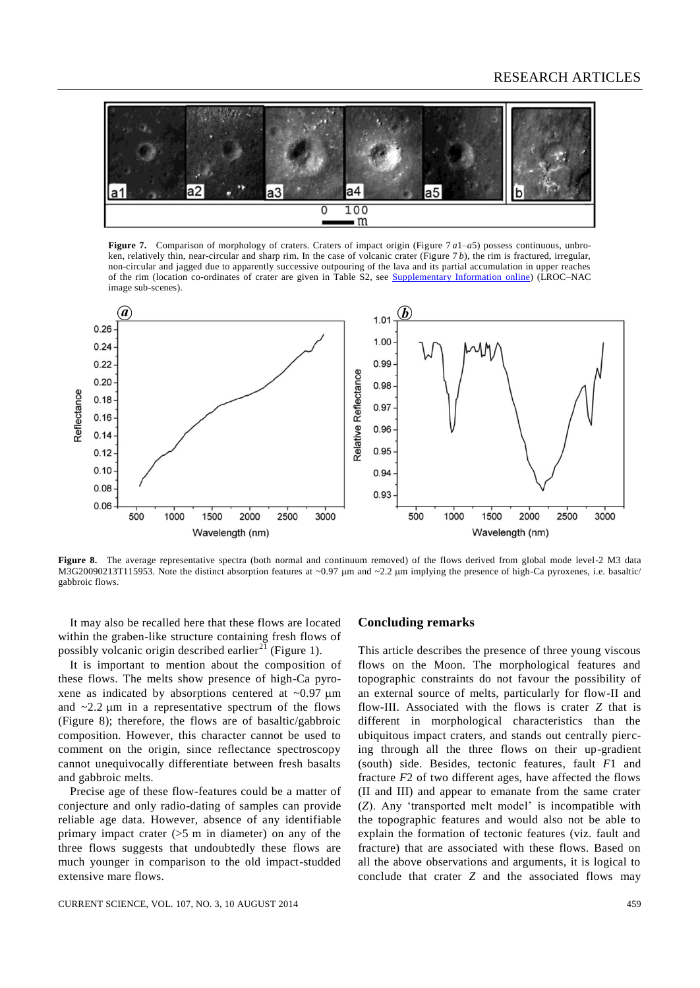#### RESEARCH ARTICLES



**Figure 7.** Comparison of morphology of craters. Craters of impact origin (Figure 7 *a*1–*a*5) possess continuous, unbroken, relatively thin, near-circular and sharp rim. In the case of volcanic crater (Figure 7 *b*), the rim is fractured, irregular, non-circular and jagged due to apparently successive outpouring of the lava and its partial accumulation in upper reaches of the rim (location co-ordinates of crater are given in Table S2, see [Supplementary Information](http://www.currentscience.ac.in/Volumes/107/03/0454-suppl.pdf) online) (LROC–NAC image sub-scenes).



**Figure 8.** The average representative spectra (both normal and continuum removed) of the flows derived from global mode level-2 M3 data M3G20090213T115953. Note the distinct absorption features at ~0.97  $\mu$ m and ~2.2  $\mu$ m implying the presence of high-Ca pyroxenes, i.e. basaltic/ gabbroic flows.

It may also be recalled here that these flows are located within the graben-like structure containing fresh flows of possibly volcanic origin described earlier<sup>21</sup> (Figure 1).

It is important to mention about the composition of these flows. The melts show presence of high-Ca pyroxene as indicated by absorptions centered at  $\sim 0.97 \mu m$ and  $\sim$ 2.2  $\mu$ m in a representative spectrum of the flows (Figure 8); therefore, the flows are of basaltic/gabbroic composition. However, this character cannot be used to comment on the origin, since reflectance spectroscopy cannot unequivocally differentiate between fresh basalts and gabbroic melts.

Precise age of these flow-features could be a matter of conjecture and only radio-dating of samples can provide reliable age data. However, absence of any identifiable primary impact crater  $(55 \text{ m})$  in diameter) on any of the three flows suggests that undoubtedly these flows are much younger in comparison to the old impact-studded extensive mare flows.

#### **Concluding remarks**

This article describes the presence of three young viscous flows on the Moon. The morphological features and topographic constraints do not favour the possibility of an external source of melts, particularly for flow-II and flow-III. Associated with the flows is crater *Z* that is different in morphological characteristics than the ubiquitous impact craters, and stands out centrally piercing through all the three flows on their up-gradient (south) side. Besides, tectonic features, fault *F*1 and fracture *F*2 of two different ages, have affected the flows (II and III) and appear to emanate from the same crater (*Z*). Any 'transported melt model' is incompatible with the topographic features and would also not be able to explain the formation of tectonic features (viz. fault and fracture) that are associated with these flows. Based on all the above observations and arguments, it is logical to conclude that crater *Z* and the associated flows may